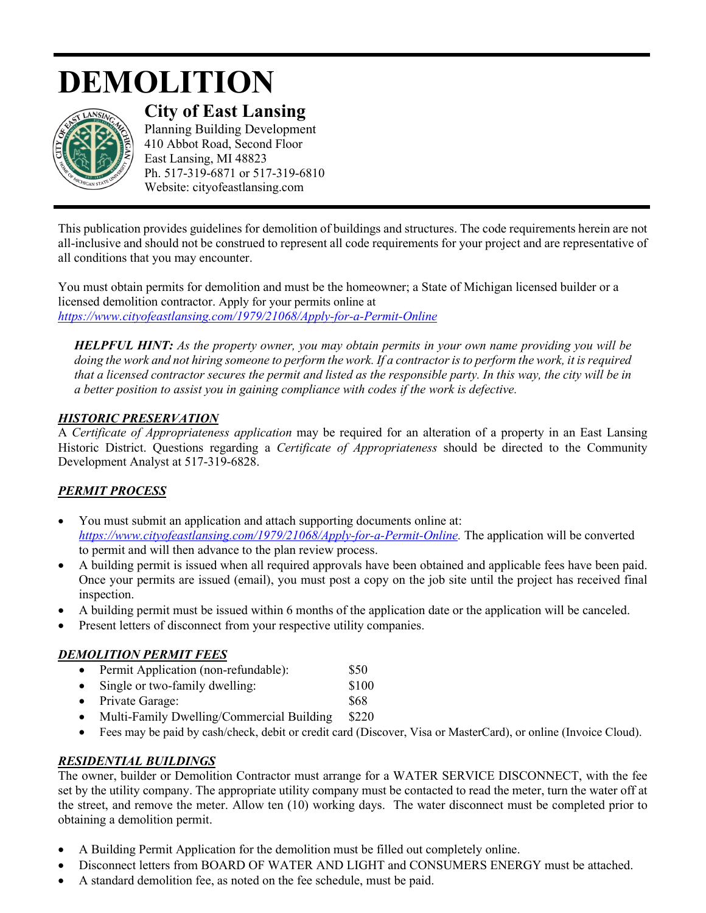# **DEMOLITION**



**City of East Lansing**  Planning Building Development 410 Abbot Road, Second Floor

East Lansing, MI 48823 Ph. 517-319-6871 or 517-319-6810 Website: cityofeastlansing.com

This publication provides guidelines for demolition of buildings and structures. The code requirements herein are not all-inclusive and should not be construed to represent all code requirements for your project and are representative of all conditions that you may encounter.

You must obtain permits for demolition and must be the homeowner; a State of Michigan licensed builder or a licensed demolition contractor. Apply for your permits online at *[https://www.cityofeastlansing.com/1979/21068/Apply-for-a-Permit-Online](https://gcc02.safelinks.protection.outlook.com/?url=https%3A%2F%2Fwww.cityofeastlansing.com%2F1979%2F21068%2FApply-for-a-Permit-Online&data=02%7C01%7Clyabs%40cityofeastlansing.com%7Cb9fe59df82de4643f38008d84e6d8f26%7C42c2237340d243c6b22f2c6f445fa115%7C0%7C0%7C637345579751519156&sdata=JYaSysmPHUZPke1N8AkQPIhf%2Bps%2FuXYwaY23UuMZrWo%3D&reserved=0)*

*HELPFUL HINT: As the property owner, you may obtain permits in your own name providing you will be doing the work and not hiring someone to perform the work. If a contractor is to perform the work, it is required that a licensed contractor secures the permit and listed as the responsible party. In this way, the city will be in a better position to assist you in gaining compliance with codes if the work is defective.* 

### *HISTORIC PRESERVATION*

A *Certificate of Appropriateness application* may be required for an alteration of a property in an East Lansing Historic District. Questions regarding a *Certificate of Appropriateness* should be directed to the Community Development Analyst at 517-319-6828.

## *PERMIT PROCESS*

- You must submit an application and attach supporting documents online at: *[https://www.cityofeastlansing.com/1979/21068/Apply-for-a-Permit-Online.](https://www.cityofeastlansing.com/1979/21068/Apply-for-a-Permit-Online)* The application will be converted to permit and will then advance to the plan review process.
- A building permit is issued when all required approvals have been obtained and applicable fees have been paid. Once your permits are issued (email), you must post a copy on the job site until the project has received final inspection.
- A building permit must be issued within 6 months of the application date or the application will be canceled.
- Present letters of disconnect from your respective utility companies.

## *DEMOLITION PERMIT FEES*

- Permit Application (non-refundable): \$50
- Single or two-family dwelling: \$100
- Private Garage: \$68
- Multi-Family Dwelling/Commercial Building \$220
- Fees may be paid by cash/check, debit or credit card (Discover, Visa or MasterCard), or online (Invoice Cloud).

## *RESIDENTIAL BUILDINGS*

The owner, builder or Demolition Contractor must arrange for a WATER SERVICE DISCONNECT, with the fee set by the utility company. The appropriate utility company must be contacted to read the meter, turn the water off at the street, and remove the meter. Allow ten (10) working days. The water disconnect must be completed prior to obtaining a demolition permit.

- A Building Permit Application for the demolition must be filled out completely online.
- Disconnect letters from BOARD OF WATER AND LIGHT and CONSUMERS ENERGY must be attached.
- A standard demolition fee, as noted on the fee schedule, must be paid.